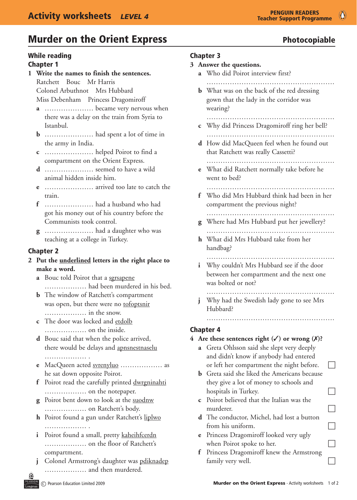## Murder on the Orient Express **Express** Photocopiable

### While reading

### Chapter 1

- **1 Write the names to finish the sentences.** Ratchett Bouc Mr Harris Colonel Arbuthnot Mrs Hubbard Miss Debenham Princess Dragomiroff
	- **a** ………………… became very nervous when there was a delay on the train from Syria to Istanbul.
	- **b** …………………………… had spent a lot of time in the army in India.
	- **c** ………………… helped Poirot to find a compartment on the Orient Express.
	- **d** ……………… seemed to have a wild animal hidden inside him.
	- **e** ………………… arrived too late to catch the train.
	- **f** …………………… had a husband who had got his money out of his country before the Communists took control.
	- **g** …………………………………… had a daughter who was teaching at a college in Turkey.

#### Chapter 2

- **2 Put the underlined letters in the right place to make a word.**
	- **a** Bouc told Poirot that a sgrsapene ……………… had been murdered in his bed.
	- **b** The window of Ratchett's compartment was open, but there were no tofoptsnir ……………… in the snow.
	- **c** The door was locked and etdolb ……………… on the inside.
	- **d** Bouc said that when the police arrived, there would be delays and apnsnestnaselu …………………
	- **e** MacQueen acted <u>svrenyluo</u> ……………… as he sat down opposite Poirot.
	- **f** Poirot read the carefully printed dwrgninahti ……………… on the notepaper.
	- **g** Poirot bent down to look at the suodnw ……………… on Ratchett's body.
	- **h** Poirot found a gun under Ratchett's liplwo …………………
	- **i** Poirot found a small, pretty kaheihfcerdn ……………… on the floor of Ratchett's compartment.
	- **j** Colonel Armstrong's daughter was pdiknadep ……………… and then murdered.

### Chapter 3

- **3 Answer the questions.**
	- **a** Who did Poirot interview first?
	- ………………………………………………. **b** What was on the back of the red dressing gown that the lady in the corridor was wearing?
	- ………………………………………………………  **c** Why did Princess Dragomiroff ring her bell?
	- ……………………………………………….
	- **d** How did MacQueen feel when he found out that Ratchett was really Cassetti? ……………………………………………….
	- **e** What did Ratchett normally take before he went to bed?

#### ……………………………………………….

**f** Who did Mrs Hubbard think had been in her compartment the previous night?

 ……………………………………………….

- **g** Where had Mrs Hubbard put her jewellery? ……………………………………………….
- **h** What did Mrs Hubbard take from her handbag?
- ………………………………………………. **i** Why couldn't Mrs Hubbard see if the door between her compartment and the next one was bolted or not?

 ……………………………………………….

………………………………………………………………

**i** Why had the Swedish lady gone to see Mrs Hubbard?

### Chapter 4

### **4** Are these sentences right  $(\checkmark)$  or wrong  $(\checkmark)$ ?

- **a** Greta Ohlsson said she slept very deeply and didn't know if anybody had entered or left her compartment the night before.  $\Box$
- **b** Greta said she liked the Americans because they give a lot of money to schools and hospitals in Turkey.  $\Box$
- **c** Poirot believed that the Italian was the murderer.  $\Box$
- **d** The conductor, Michel, had lost a button from his uniform.  $\Box$
- **e** Princess Dragomiroff looked very ugly when Poirot spoke to her.  $\Box$
- **f** Princess Dragomiroff knew the Armstrong family very well.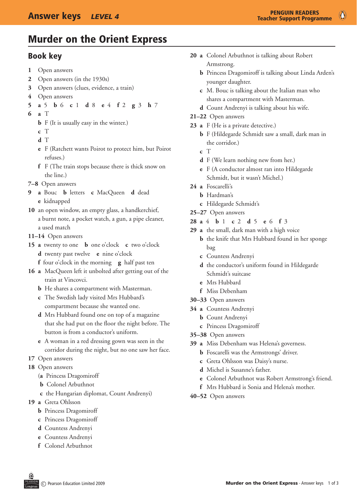$\bullet$ 

## Murder on the Orient Express

### Book key

- **1** Open answers
- **2** Open answers (in the 1930s)
- **3** Open answers (clues, evidence, a train)
- **4** Open answers
- **5 a** 5 **b** 6 **c** 1 **d**  8 **e** 4 **f** 2 **g** 3 **h** 7
- **6 a** T
	- **b** F (It is usually easy in the winter.)
	- **c** T
	- **d** T
	- **e** F (Ratchett wants Poirot to protect him, but Poirot refuses.)
	- **f** F (The train stops because there is thick snow on the line.)
- **7–8** Open answers
- **9 a** Bouc **b** letters **c** MacQueen **d** dead **e** kidnapped
- 10 an open window, an empty glass, a handkerchief, a burnt note, a pocket watch, a gun, a pipe cleaner, a used match
- **11–14** Open answers
- **15 a** twenty to one **b**  one o'clock **c** two o'clock **d** twenty past twelve **e** nine o'clock
	- **f** four o'clock in the morning **g** half past ten
- 16 **a** MacQueen left it unbolted after getting out of the train at Vincovci.
	- **b** He shares a compartment with Masterman.
	- **c** The Swedish lady visited Mrs Hubbard's compartment because she wanted one.
	- **d** Mrs Hubbard found one on top of a magazine that she had put on the floor the night before. The button is from a conductor's uniform.
	- **e** A woman in a red dressing gown was seen in the corridor during the night, but no one saw her face.
- 17 Open answers
- 18 Open answers
	- (**a**  Princess Dragomiroff
	- **b** Colonel Arbuthnot
	- **c** the Hungarian diplomat, Count Andrenyi)
- **19 a** Greta Ohlsson
	- **b** Princess Dragomiroff
	- **c** Princess Dragomiroff
	- **d** Countess Andrenyi
	- **e** Countess Andrenyi
	- **f** Colonel Arbuthnot
- 20 **a** Colonel Arbuthnot is talking about Robert Armstrong.
	- **b** Princess Dragomiroff is talking about Linda Arden's younger daughter.
	- **c** M. Bouc is talking about the Italian man who shares a compartment with Masterman.
	- **d** Count Andrenyi is talking about his wife.
- **21–22** Open answers
- 23 **a** F (He is a private detective.)
	- **b** F (Hildegarde Schmidt saw a small, dark man in the corridor.)
	- **c** T
	- **d** F (We learn nothing new from her.)
	- **e** F (A conductor almost ran into Hildegarde Schmidt, but it wasn't Michel.)
- **24 a** Foscarelli's
	- **b** Hardman's
	- **c** Hildegarde Schmidt's
- **25–27** Open answers
- **28 a** 4 **b** 1 **c** 2 **d** 5 **e** 6 **f**  3
- 29 **a** the small, dark man with a high voice
	- **b** the knife that Mrs Hubbard found in her sponge bag
	- **c** Countess Andrenyi
	- **d** the conductor's uniform found in Hildegarde Schmidt's suitcase
	- **e** Mrs Hubbard
	- **f** Miss Debenham
- **30–33** Open answers
- **34 a** Countess Andrenyi
	- **b** Count Andrenyi
	- **c** Princess Dragomiroff
- **35–38** Open answers
- **39 a** Miss Debenham was Helena's governess.
	- **b** Foscarelli was the Armstrongs' driver.
	- **c** Greta Ohlsson was Daisy's nurse.
	- **d** Michel is Susanne's father.
	- **e** Colonel Arbuthnot was Robert Armstrong's friend.
	- **f** Mrs Hubbard is Sonia and Helena's mother.
- **40–52** Open answers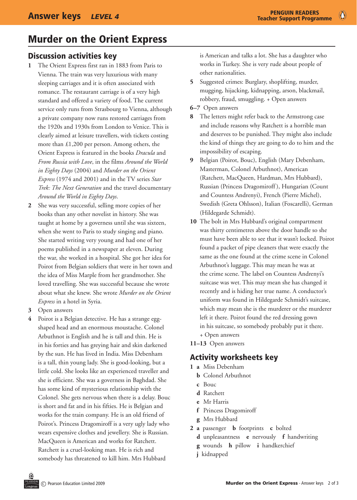## Murder on the Orient Express

### Discussion activities key

- **1** The Orient Express first ran in 1883 from Paris to Vienna. The train was very luxurious with many sleeping carriages and it is often associated with romance. The restaurant carriage is of a very high standard and offered a variety of food. The current service only runs from Strasbourg to Vienna, although a private company now runs restored carriages from the 1920s and 1930s from London to Venice. This is clearly aimed at leisure travellers, with tickets costing more than £1,200 per person. Among others, the Orient Express is featured in the books *Dracula* and *From Russia with Love*, in the films *Around the World in Eighty Days* (2004) and *Murder on the Orient Express* (1974 and 2001) and in the TV series *Star Trek: The Next Generation* and the travel documentary *Around the World in Eighty Days*.
- **2** She was very successful, selling more copies of her books than any other novelist in history. She was taught at home by a governess until she was sixteen, when she went to Paris to study singing and piano. She started writing very young and had one of her poems published in a newspaper at eleven. During the war, she worked in a hospital. She got her idea for Poirot from Belgian soldiers that were in her town and the idea of Miss Marple from her grandmother. She loved travelling. She was successful because she wrote about what she knew. She wrote *Murder on the Orient Express* in a hotel in Syria.
- **3** Open answers
- **4** Poirot is a Belgian detective. He has a strange eggshaped head and an enormous moustache. Colonel Arbuthnot is English and he is tall and thin. He is in his forties and has greying hair and skin darkened by the sun. He has lived in India. Miss Debenham is a tall, thin young lady. She is good-looking, but a little cold. She looks like an experienced traveller and she is efficient. She was a governess in Baghdad. She has some kind of mysterious relationship with the Colonel. She gets nervous when there is a delay. Bouc is short and fat and in his fifties. He is Belgian and works for the train company. He is an old friend of Poirot's. Princess Dragomiroff is a very ugly lady who wears expensive clothes and jewellery. She is Russian. MacQueen is American and works for Ratchett. Ratchett is a cruel-looking man. He is rich and somebody has threatened to kill him. Mrs Hubbard

is American and talks a lot. She has a daughter who works in Turkey. She is very rude about people of other nationalities.

- **5** Suggested crimes: Burglary, shoplifting, murder, mugging, hijacking, kidnapping, arson, blackmail, robbery, fraud, smuggling. + Open answers
- **6–7** Open answers
- **8** The letters might refer back to the Armstrong case and include reasons why Ratchett is a horrible man and deserves to be punished. They might also include the kind of things they are going to do to him and the impossibility of escaping.
- **9** Belgian (Poirot, Bouc), English (Mary Debenham, Masterman, Colonel Arbuthnot), American (Ratchett, MacQueen, Hardman, Mrs Hubbard), Russian (Princess Dragomiroff ), Hungarian (Count and Countess Andrenyi), French (Pierre Michel), Swedish (Greta Ohlsson), Italian (Foscarelli), German (Hildegarde Schmidt).
- **10** The bolt in Mrs Hubbard's original compartment was thirty centimetres above the door handle so she must have been able to see that it wasn't locked. Poirot found a packet of pipe cleaners that were exactly the same as the one found at the crime scene in Colonel Arbuthnot's luggage. This may mean he was at the crime scene. The label on Countess Andrenyi's suitcase was wet. This may mean she has changed it recently and is hiding her true name. A conductor's uniform was found in Hildegarde Schmidt's suitcase, which may mean she is the murderer or the murderer left it there. Poirot found the red dressing gown in his suitcase, so somebody probably put it there.
	- + Open answers
- **11–13** Open answers

### Activity worksheets key

- **1 a** Miss Debenham
	- **b** Colonel Arbuthnot
	- **c** Bouc
	- **d** Ratchett
	- **e** Mr Harris
	- **f** Princess Dragomiroff
	- **g** Mrs Hubbard
- **2 a** passenger **b** footprints **c** bolted
	- **d** unpleasantness **e** nervously **f** handwriting
	- **g** wounds **h** pillow **i** handkerchief
	- **j** kidnapped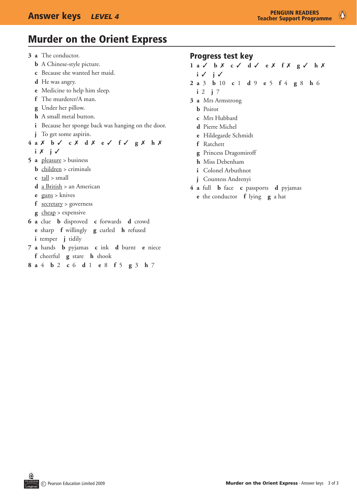## Murder on the Orient Express

**3 a** The conductor.

- **b** A Chinese-style picture.
- **c** Because she wanted her maid.
- **d** He was angry.
- **e** Medicine to help him sleep.
- **f** The murderer/A man.
- **g** Under her pillow.
- **h** A small metal button.
- **i** Because her sponge back was hanging on the door.
- **j** To get some aspirin.
- **4 a** 7 **b** 3 **c** 7 **d** 7 **e** 3 **f** 3 **g** 7 **h** 7
	- $i \times j \vee j$
- **5 a** pleasure > business
	- **b** children > criminals
	- **c** tall > small
	- **d** a British > an American
	- **e** guns > knives
	- **f** secretary > governess
	- **g** cheap > expensive
- **6 a** clue **b** disproved **c** forwards **d** crowd
	- **e** sharp **f** willingly **g** curled **h** refused
	- **i** temper **j** tidily
- **7 a** hands **b** pyjamas **c** ink **d** burnt **e** niece **f** cheerful **g** stare **h** shook
- **8 a** 4 **b** 2 **c** 6 **d** 1 **e** 8 **f** 5 **g** 3 **h** 7

### Progress test key

- **1 a** 3 **b** 7 **c** 3 **d** 3 **e** 7 **f** 7 **g** 3 **h** 7
- $i \vee j \vee j$
- **2 a** 3 **b** 10 **c** 1 **d** 9 **e** 5 **f** 4 **g** 8 **h** 6
- $i \ 2 \ i \ 7$
- **3 a** Mrs Armstrong
	- **b** Poirot
	- **c** Mrs Hubbard
	- **d** Pierre Michel
	- **e** Hildegarde Schmidt
	- **f** Ratchett
	- **g** Princess Dragomiroff
	- **h** Miss Debenham
	- **i** Colonel Arbuthnot
	- **j** Countess Andrenyi
- **4 a** full **b** face **c** passports **d** pyjamas
	- **e** the conductor **f** lying **g** a hat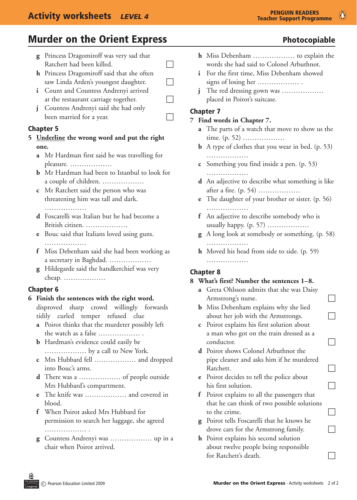## **Murder on the Orient Express** The Controller on the Orient Express The Controller Photocopiable

- **g** Princess Dragomiroff was very sad that  $R$ atchett had been killed.
- **h** Princess Dragomiroff said that she often saw Linda Arden's youngest daughter.  $\Box$
- **i** Count and Countess Andrenyi arrived at the restaurant carriage together.  $\Box$
- **j** Countess Andrenyi said she had only been married for a year.

#### Chapter 5

- **5 Underline the wrong word and put the right one.**
	- **a** Mr Hardman first said he was travelling for pleasure. ………………
	- **b** Mr Hardman had been to Istanbul to look for a couple of children. ………………
	- **c** Mr Ratchett said the person who was threatening him was tall and dark.

………………

- **d** Foscarelli was Italian but he had become a British citizen. ………………
- **e** Bouc said that Italians loved using guns. …………………
- **f** Miss Debenham said she had been working as a secretary in Baghdad. ………………
- **g** Hildegarde said the handkerchief was very cheap. ………………

### Chapter 6

- **6 Finish the sentences with the right word.** disproved sharp crowd willingly forwards tidily curled temper refused clue
	- **a** Poirot thinks that the murderer possibly left the watch as a false ……………… .
	- **b** Hardman's evidence could easily be ……………… by a call to New York.
	- **c** Mrs Hubbard fell ……………… and dropped into Bouc's arms.
	- **d** There was a ……………… of people outside Mrs Hubbard's compartment.
	- **e** The knife was ……………… and covered in blood.
	- **f** When Poirot asked Mrs Hubbard for permission to search her luggage, she agreed …………………
	- **g** Countess Andrenyi was ……………… up in a chair when Poirot arrived.
- **h** Miss Debenham ……………… to explain the words she had said to Colonel Arbuthnot.
- *i* For the first time, Miss Debenham showed signs of losing her ……………… .
- *i* The red dressing gown was ……………… placed in Poirot's suitcase.

### Chapter 7

#### **7 Find words in Chapter 7.**

- **a** The parts of a watch that move to show us the time. (p. 52) ………………
- **b** A type of clothes that you wear in bed. (p. 53) …………………
- **c** Something you find inside a pen. (p. 53) ………………
- **d** An adjective to describe what something is like after a fire. (p. 54) ………………
- **e** The daughter of your brother or sister. (p. 56) ………………
- **f** An adjective to describe somebody who is usually happy. (p. 57) ………………
- **g** A long look at somebody or something. (p. 58) ………………
- **h** Moved his head from side to side. (p. 59) …………………

### Chapter 8

#### **8 What's first? Number the sentences 1–8.**

- **a** Greta Ohlsson admits that she was Daisy Armstrong's nurse.
- **b** Miss Debenham explains why she lied about her job with the Armstrongs.  $\Box$
- **c** Poirot explains his first solution about a man who got on the train dressed as a  $\Box$  conductor.
- **d** Poirot shows Colonel Arbuthnot the pipe cleaner and asks him if he murdered  $R$ atchett.  $\Box$
- **e** Poirot decides to tell the police about his first solution.  $\Box$
- **f** Poirot explains to all the passengers that that he can think of two possible solutions to the crime.
- **g** Poirot tells Foscarelli that he knows he drove cars for the Armstrong family.  $\Box$
- **h** Poirot explains his second solution about twelve people being responsible for Ratchett's death.  $\Box$